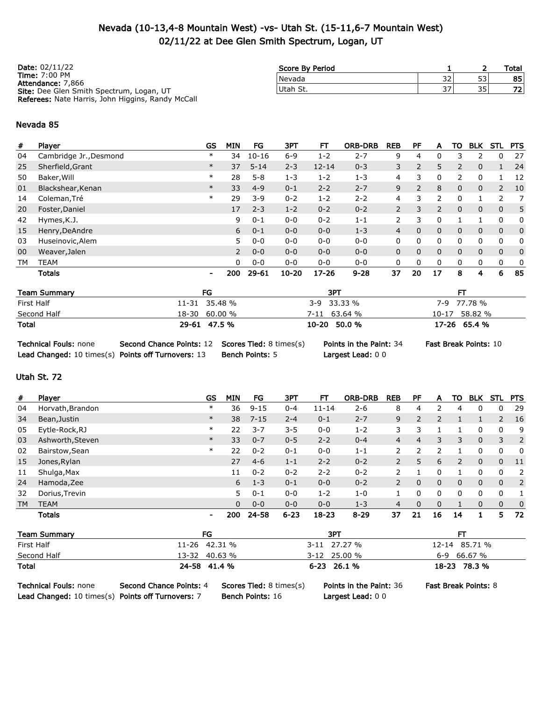## Nevada (10-13,4-8 Mountain West) -vs- Utah St. (15-11,6-7 Mountain West) 02/11/22 at Dee Glen Smith Spectrum, Logan, UT

| <b>Date:</b> 02/11/22                             | Score By Period |     |    | Total |
|---------------------------------------------------|-----------------|-----|----|-------|
| <b>Time: 7:00 PM</b><br>Attendance: 7.866         | Nevada          | 32  | 53 | 85    |
| Site: Dee Glen Smith Spectrum, Logan, UT          | Utah St.        | 37, | 35 | 721   |
| Referees: Nate Harris, John Higgins, Randy McCall |                 |     |    |       |

#### Nevada 85

| #  | Player                 | GS                       | <b>MIN</b> | FG        | 3PT       | FТ        | <b>ORB-DRB</b> | <b>REB</b>     | PF | Α              | то             | <b>BLK</b>   | STL            | <b>PTS</b>   |
|----|------------------------|--------------------------|------------|-----------|-----------|-----------|----------------|----------------|----|----------------|----------------|--------------|----------------|--------------|
| 04 | Cambridge Jr., Desmond | $\ast$                   | 34         | $10 - 16$ | $6 - 9$   | 1-2       | $2 - 7$        | 9              | 4  | 0              | З              | p            | 0              | 27           |
| 25 | Sherfield, Grant       | $\ast$                   | 37         | $5 - 14$  | $2 - 3$   | $12 - 14$ | $0 - 3$        | 3              | 2  | 5              | $\overline{2}$ | 0            |                | 24           |
| 50 | Baker, Will            | $\ast$                   | 28         | $5 - 8$   | $1 - 3$   | $1 - 2$   | $1 - 3$        | 4              | 3  | 0              | $\mathcal{P}$  | 0            |                | 12           |
| 01 | Blackshear, Kenan      | $\ast$                   | 33         | $4 - 9$   | $0 - 1$   | $2 - 2$   | $2 - 7$        | 9              | 2  | 8              | 0              | 0            | $\overline{2}$ | 10           |
| 14 | Coleman, Tré           | $\ast$                   | 29         | $3 - 9$   | $0 - 2$   | $1 - 2$   | $2 - 2$        | 4              | 3  | $\mathcal{P}$  | 0              |              | っ              | 7            |
| 20 | Foster, Daniel         |                          | 17         | $2 - 3$   | $1 - 2$   | $0 - 2$   | $0 - 2$        | $\overline{2}$ | 3  | $\overline{2}$ | $\mathbf{0}$   | $\mathbf{0}$ | $\mathbf{0}$   | 5            |
| 42 | Hymes, K.J.            |                          | 9          | $0 - 1$   | $0 - 0$   | $0 - 2$   | $1 - 1$        | 2              | 3  | 0              |                |              | 0              | 0            |
| 15 | Henry, DeAndre         |                          | 6          | $0 - 1$   | $0 - 0$   | $0 - 0$   | $1 - 3$        | 4              | 0  | 0              | 0              | 0            | $\mathbf{0}$   | $\mathbf{0}$ |
| 03 | Huseinovic, Alem       |                          | 5.         | $0 - 0$   | $0 - 0$   | $0 - 0$   | $0 - 0$        | 0              | 0  | 0              | 0              | 0            | 0              | 0            |
| 00 | Weaver, Jalen          |                          | 2          | $0 - 0$   | $0 - 0$   | $0 - 0$   | $0 - 0$        | 0              | 0  | 0              | 0              | 0            | $\mathbf{0}$   | $\mathbf{0}$ |
| TМ | <b>TEAM</b>            |                          | $\Omega$   | $0 - 0$   | $0 - 0$   | $0 - 0$   | $0 - 0$        | 0              | 0  | 0              | 0              | 0            | $\mathbf{0}$   | 0            |
|    | <b>Totals</b>          | $\overline{\phantom{a}}$ | 200        | $29 - 61$ | $10 - 20$ | $17 - 26$ | $9 - 28$       | 37             | 20 | 17             | 8              | 4            | 6              | 85           |

| <b>Team Summary</b> | FG            | 3PT            |               |
|---------------------|---------------|----------------|---------------|
| First Half          | 11-31 35.48 % | $3-9$ 33.33 %  | 7-9 77.78 %   |
| Second Half         | 18-30 60.00 % | $7-11$ 63.64 % | 10-17 58.82 % |
| <b>Total</b>        | 29-61 47.5 %  | $10-20$ 50.0 % | 17-26 65.4 %  |

| <b>Technical Fouls: none</b>                       | Second Chance Points: 12 Scores Tied: 8 times( |                        |
|----------------------------------------------------|------------------------------------------------|------------------------|
| Lead Changed: 10 times(s) Points off Turnovers: 13 |                                                | <b>Bench Points: 5</b> |

Largest Lead: 0 0

s) Points in the Paint: 34 Fast Break Points: 10

### Utah St. 72

| #          | Player              |           | <b>GS</b>      | MIN          | FG       | 3PT      | FТ           | <b>ORB-DRB</b> | <b>REB</b>     | <b>PF</b>      | A              | то             | <b>BLK</b>   | <b>STL</b>     | <b>PTS</b>  |
|------------|---------------------|-----------|----------------|--------------|----------|----------|--------------|----------------|----------------|----------------|----------------|----------------|--------------|----------------|-------------|
| 04         | Horvath, Brandon    |           | $\ast$         | 36           | $9 - 15$ | $0 - 4$  | $11 - 14$    | $2 - 6$        | 8              | 4              | 2              | 4              | 0            | 0              | 29          |
| 34         | Bean, Justin        |           | $\ast$         | 38           | $7 - 15$ | $2 - 4$  | $0 - 1$      | $2 - 7$        | 9              | $\overline{2}$ | $\overline{2}$ |                | 1            | $\overline{2}$ | 16          |
| 05         | Eytle-Rock, RJ      |           | $\ast$         | 22           | $3 - 7$  | $3 - 5$  | $0 - 0$      | $1 - 2$        | 3              | 3              |                |                | 0            | 0              | 9           |
| 03         | Ashworth, Steven    |           | $\ast$         | 33           | $0 - 7$  | $0 - 5$  | $2 - 2$      | $0 - 4$        | $\overline{4}$ | $\overline{4}$ | 3              | 3              | 0            | 3              | 2           |
| 02         | Bairstow, Sean      |           | $\ast$         | 22           | $0 - 2$  | $0 - 1$  | $0 - 0$      | $1 - 1$        | $\overline{2}$ | 2              | 2              |                | 0            | 0              | 0           |
| 15         | Jones, Rylan        |           |                | 27           | $4 - 6$  | $1 - 1$  | $2 - 2$      | $0 - 2$        | $\overline{2}$ | 5              | 6              | $\overline{2}$ | 0            | $\mathbf{0}$   | 11          |
| 11         | Shulga, Max         |           |                | 11           | $0 - 2$  | $0 - 2$  | $2 - 2$      | $0 - 2$        | 2              |                | 0              |                | 0            | 0              | 2           |
| 24         | Hamoda, Zee         |           |                | 6            | $1 - 3$  | $0 - 1$  | $0 - 0$      | $0 - 2$        | $\overline{2}$ | $\Omega$       | $\mathbf{0}$   | $\mathbf{0}$   | $\mathbf{0}$ | $\mathbf{0}$   | 2           |
| 32         | Dorius, Trevin      |           |                | 5.           | $0 - 1$  | $0 - 0$  | $1 - 2$      | $1 - 0$        | 1              | 0              | 0              | 0              | 0            | 0              | 1           |
| TM         | <b>TEAM</b>         |           |                | $\mathbf{0}$ | $0 - 0$  | $0 - 0$  | $0 - 0$      | $1 - 3$        | 4              | 0              | $\mathbf{0}$   |                | 0            | $\mathbf 0$    | $\mathbf 0$ |
|            | <b>Totals</b>       |           | $\blacksquare$ | 200          | 24-58    | $6 - 23$ | $18 - 23$    | $8 - 29$       | 37             | 21             | 16             | 14             | 1            | 5.             | 72          |
|            | <b>Team Summary</b> |           | FG             |              |          |          | 3PT          |                |                |                |                | FT             |              |                |             |
| First Half |                     | $11 - 26$ | 42.31 %        |              |          |          | 3-11 27.27 % |                |                |                | $12 - 14$      |                | 85.71 %      |                |             |
|            | Second Half         | 13-32     | 40.63 %        |              |          |          | 3-12 25.00 % |                |                |                | 6-9            |                | 66.67 %      |                |             |

Total 24-58 41.4 % 6-23 26.1 % 18-23 78.3 %

Technical Fouls: none Second Chance Points: 4 Scores Tied: 8 times(s) Points in the Paint: 36 Fast Break Points: 8

Lead Changed: 10 times(s) Points off Turnovers: 7 Bench Points: 16 Largest Lead: 0 0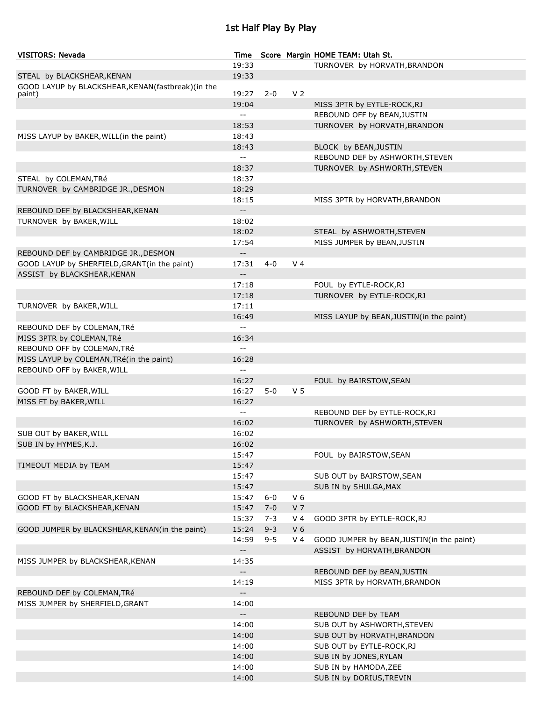# 1st Half Play By Play

| <b>VISITORS: Nevada</b>                           | Time                                          |         |                | Score Margin HOME TEAM: Utah St.          |
|---------------------------------------------------|-----------------------------------------------|---------|----------------|-------------------------------------------|
|                                                   | 19:33                                         |         |                | TURNOVER by HORVATH, BRANDON              |
| STEAL by BLACKSHEAR, KENAN                        | 19:33                                         |         |                |                                           |
| GOOD LAYUP by BLACKSHEAR, KENAN(fastbreak)(in the |                                               |         |                |                                           |
| paint)                                            | 19:27                                         | $2 - 0$ | V <sub>2</sub> |                                           |
|                                                   | 19:04                                         |         |                | MISS 3PTR by EYTLE-ROCK, RJ               |
|                                                   | $\mathord{\hspace{1pt}\text{--}\hspace{1pt}}$ |         |                | REBOUND OFF by BEAN, JUSTIN               |
|                                                   | 18:53                                         |         |                | TURNOVER by HORVATH, BRANDON              |
| MISS LAYUP by BAKER, WILL (in the paint)          | 18:43                                         |         |                |                                           |
|                                                   | 18:43                                         |         |                | BLOCK by BEAN, JUSTIN                     |
|                                                   | $\mathord{\hspace{1pt}\text{--}\hspace{1pt}}$ |         |                | REBOUND DEF by ASHWORTH, STEVEN           |
|                                                   | 18:37                                         |         |                | TURNOVER by ASHWORTH, STEVEN              |
| STEAL by COLEMAN, TRé                             | 18:37                                         |         |                |                                           |
| TURNOVER by CAMBRIDGE JR., DESMON                 | 18:29                                         |         |                |                                           |
|                                                   | 18:15                                         |         |                | MISS 3PTR by HORVATH, BRANDON             |
| REBOUND DEF by BLACKSHEAR, KENAN                  | $\overline{\phantom{a}}$                      |         |                |                                           |
| TURNOVER by BAKER, WILL                           | 18:02                                         |         |                |                                           |
|                                                   | 18:02                                         |         |                | STEAL by ASHWORTH, STEVEN                 |
|                                                   | 17:54                                         |         |                | MISS JUMPER by BEAN, JUSTIN               |
| REBOUND DEF by CAMBRIDGE JR., DESMON              | $\overline{\phantom{a}}$                      |         |                |                                           |
| GOOD LAYUP by SHERFIELD, GRANT(in the paint)      | 17:31                                         | $4 - 0$ | V <sub>4</sub> |                                           |
| ASSIST by BLACKSHEAR, KENAN                       | $\overline{\phantom{a}}$                      |         |                |                                           |
|                                                   | 17:18                                         |         |                | FOUL by EYTLE-ROCK, RJ                    |
|                                                   | 17:18                                         |         |                | TURNOVER by EYTLE-ROCK, RJ                |
| TURNOVER by BAKER, WILL                           | 17:11                                         |         |                |                                           |
|                                                   | 16:49                                         |         |                | MISS LAYUP by BEAN, JUSTIN(in the paint)  |
|                                                   | $\mathbb{L}^{\mathbb{L}}$                     |         |                |                                           |
| REBOUND DEF by COLEMAN, TRé                       |                                               |         |                |                                           |
| MISS 3PTR by COLEMAN, TRé                         | 16:34                                         |         |                |                                           |
| REBOUND OFF by COLEMAN, TRé                       | $\mathord{\hspace{1pt}\text{--}\hspace{1pt}}$ |         |                |                                           |
| MISS LAYUP by COLEMAN, TRé(in the paint)          | 16:28                                         |         |                |                                           |
| REBOUND OFF by BAKER, WILL                        | $\mathord{\hspace{1pt}\text{--}\hspace{1pt}}$ |         |                |                                           |
|                                                   | 16:27                                         |         |                | FOUL by BAIRSTOW, SEAN                    |
| GOOD FT by BAKER, WILL                            | 16:27                                         | $5 - 0$ | V <sub>5</sub> |                                           |
| MISS FT by BAKER, WILL                            | 16:27                                         |         |                |                                           |
|                                                   | $\mathord{\hspace{1pt}\text{--}\hspace{1pt}}$ |         |                | REBOUND DEF by EYTLE-ROCK, RJ             |
|                                                   | 16:02                                         |         |                | TURNOVER by ASHWORTH, STEVEN              |
| SUB OUT by BAKER, WILL                            | 16:02                                         |         |                |                                           |
| SUB IN by HYMES, K.J.                             | 16:02                                         |         |                |                                           |
|                                                   | 15:47                                         |         |                | FOUL by BAIRSTOW, SEAN                    |
| TIMEOUT MEDIA by TEAM                             | 15:47                                         |         |                |                                           |
|                                                   | 15:47                                         |         |                | SUB OUT by BAIRSTOW, SEAN                 |
|                                                   | 15:47                                         |         |                | SUB IN by SHULGA, MAX                     |
| GOOD FT by BLACKSHEAR, KENAN                      | 15:47                                         | $6-0$   | V <sub>6</sub> |                                           |
| GOOD FT by BLACKSHEAR, KENAN                      | 15:47                                         | $7 - 0$ | V <sub>7</sub> |                                           |
|                                                   | 15:37                                         | $7 - 3$ | V <sub>4</sub> | GOOD 3PTR by EYTLE-ROCK, RJ               |
| GOOD JUMPER by BLACKSHEAR, KENAN(in the paint)    | 15:24                                         | $9 - 3$ | V <sub>6</sub> |                                           |
|                                                   | 14:59                                         | $9 - 5$ | V <sub>4</sub> | GOOD JUMPER by BEAN, JUSTIN(in the paint) |
|                                                   | $\overline{\phantom{a}}$                      |         |                | ASSIST by HORVATH, BRANDON                |
| MISS JUMPER by BLACKSHEAR, KENAN                  | 14:35                                         |         |                |                                           |
|                                                   | $\overline{\phantom{a}}$                      |         |                | REBOUND DEF by BEAN, JUSTIN               |
|                                                   | 14:19                                         |         |                | MISS 3PTR by HORVATH, BRANDON             |
| REBOUND DEF by COLEMAN, TRé                       | $\overline{\phantom{a}}$                      |         |                |                                           |
| MISS JUMPER by SHERFIELD, GRANT                   | 14:00                                         |         |                |                                           |
|                                                   | $\overline{\phantom{a}}$ .                    |         |                | REBOUND DEF by TEAM                       |
|                                                   | 14:00                                         |         |                | SUB OUT by ASHWORTH, STEVEN               |
|                                                   | 14:00                                         |         |                | SUB OUT by HORVATH, BRANDON               |
|                                                   | 14:00                                         |         |                | SUB OUT by EYTLE-ROCK, RJ                 |
|                                                   |                                               |         |                |                                           |
|                                                   | 14:00                                         |         |                | SUB IN by JONES, RYLAN                    |
|                                                   | 14:00                                         |         |                | SUB IN by HAMODA, ZEE                     |
|                                                   | 14:00                                         |         |                | SUB IN by DORIUS, TREVIN                  |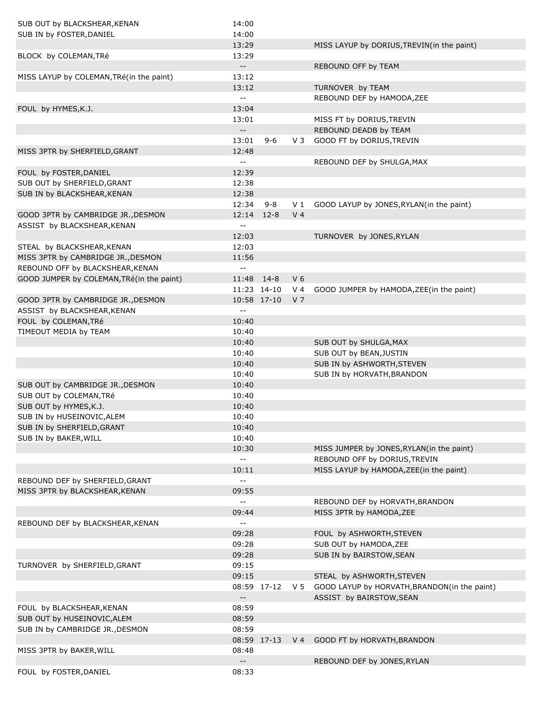| SUB OUT by BLACKSHEAR, KENAN              | 14:00                                         |             |                |                                              |
|-------------------------------------------|-----------------------------------------------|-------------|----------------|----------------------------------------------|
| SUB IN by FOSTER, DANIEL                  | 14:00                                         |             |                |                                              |
|                                           | 13:29                                         |             |                | MISS LAYUP by DORIUS, TREVIN(in the paint)   |
| BLOCK by COLEMAN, TRé                     | 13:29                                         |             |                |                                              |
|                                           | $\overline{\phantom{a}}$                      |             |                | REBOUND OFF by TEAM                          |
| MISS LAYUP by COLEMAN, TRé(in the paint)  | 13:12                                         |             |                |                                              |
|                                           | 13:12                                         |             |                | TURNOVER by TEAM                             |
|                                           | $\overline{\phantom{a}}$                      |             |                | REBOUND DEF by HAMODA, ZEE                   |
| FOUL by HYMES, K.J.                       | 13:04                                         |             |                |                                              |
|                                           | 13:01                                         |             |                | MISS FT by DORIUS, TREVIN                    |
|                                           | $\overline{\phantom{a}}$                      |             |                | REBOUND DEADB by TEAM                        |
|                                           | 13:01                                         | $9 - 6$     | $V_3$          | GOOD FT by DORIUS, TREVIN                    |
| MISS 3PTR by SHERFIELD, GRANT             | 12:48                                         |             |                |                                              |
|                                           | $\overline{\phantom{a}}$                      |             |                | REBOUND DEF by SHULGA, MAX                   |
| FOUL by FOSTER, DANIEL                    | 12:39                                         |             |                |                                              |
| SUB OUT by SHERFIELD, GRANT               | 12:38                                         |             |                |                                              |
| SUB IN by BLACKSHEAR, KENAN               | 12:38                                         |             |                |                                              |
|                                           | 12:34                                         | $9 - 8$     | V <sub>1</sub> | GOOD LAYUP by JONES, RYLAN(in the paint)     |
| GOOD 3PTR by CAMBRIDGE JR., DESMON        | 12:14                                         | $12 - 8$    | V <sub>4</sub> |                                              |
|                                           | $\overline{\phantom{a}}$ .                    |             |                |                                              |
| ASSIST by BLACKSHEAR, KENAN               |                                               |             |                |                                              |
|                                           | 12:03                                         |             |                | TURNOVER by JONES, RYLAN                     |
| STEAL by BLACKSHEAR, KENAN                | 12:03                                         |             |                |                                              |
| MISS 3PTR by CAMBRIDGE JR., DESMON        | 11:56                                         |             |                |                                              |
| REBOUND OFF by BLACKSHEAR, KENAN          | $\overline{\phantom{m}}$                      |             |                |                                              |
| GOOD JUMPER by COLEMAN, TRé(in the paint) | 11:48                                         | $14 - 8$    | V <sub>6</sub> |                                              |
|                                           |                                               | 11:23 14-10 | V <sub>4</sub> | GOOD JUMPER by HAMODA, ZEE(in the paint)     |
| GOOD 3PTR by CAMBRIDGE JR., DESMON        |                                               | 10:58 17-10 | V <sub>7</sub> |                                              |
| ASSIST by BLACKSHEAR, KENAN               | --                                            |             |                |                                              |
| FOUL by COLEMAN, TRé                      | 10:40                                         |             |                |                                              |
| TIMEOUT MEDIA by TEAM                     | 10:40                                         |             |                |                                              |
|                                           | 10:40                                         |             |                | SUB OUT by SHULGA, MAX                       |
|                                           | 10:40                                         |             |                | SUB OUT by BEAN, JUSTIN                      |
|                                           | 10:40                                         |             |                | SUB IN by ASHWORTH, STEVEN                   |
|                                           | 10:40                                         |             |                | SUB IN by HORVATH, BRANDON                   |
| SUB OUT by CAMBRIDGE JR., DESMON          | 10:40                                         |             |                |                                              |
| SUB OUT by COLEMAN, TRé                   | 10:40                                         |             |                |                                              |
| SUB OUT by HYMES, K.J.                    | 10:40                                         |             |                |                                              |
| SUB IN by HUSEINOVIC, ALEM                | 10:40                                         |             |                |                                              |
| SUB IN by SHERFIELD, GRANT                | 10:40                                         |             |                |                                              |
| SUB IN by BAKER, WILL                     | 10:40                                         |             |                |                                              |
|                                           | 10:30                                         |             |                | MISS JUMPER by JONES, RYLAN(in the paint)    |
|                                           | $\mathord{\hspace{1pt}\text{--}\hspace{1pt}}$ |             |                | REBOUND OFF by DORIUS, TREVIN                |
|                                           | 10:11                                         |             |                | MISS LAYUP by HAMODA, ZEE(in the paint)      |
| REBOUND DEF by SHERFIELD, GRANT           | --                                            |             |                |                                              |
| MISS 3PTR by BLACKSHEAR, KENAN            | 09:55                                         |             |                |                                              |
|                                           | $-$                                           |             |                | REBOUND DEF by HORVATH, BRANDON              |
|                                           | 09:44                                         |             |                | MISS 3PTR by HAMODA, ZEE                     |
|                                           |                                               |             |                |                                              |
| REBOUND DEF by BLACKSHEAR, KENAN          | --                                            |             |                |                                              |
|                                           | 09:28                                         |             |                | FOUL by ASHWORTH, STEVEN                     |
|                                           | 09:28                                         |             |                | SUB OUT by HAMODA, ZEE                       |
|                                           | 09:28                                         |             |                | SUB IN by BAIRSTOW, SEAN                     |
| TURNOVER by SHERFIELD, GRANT              | 09:15                                         |             |                |                                              |
|                                           | 09:15                                         |             |                | STEAL by ASHWORTH, STEVEN                    |
|                                           |                                               | 08:59 17-12 | V 5            | GOOD LAYUP by HORVATH, BRANDON(in the paint) |
|                                           | $- -$                                         |             |                | ASSIST by BAIRSTOW, SEAN                     |
| FOUL by BLACKSHEAR, KENAN                 | 08:59                                         |             |                |                                              |
| SUB OUT by HUSEINOVIC, ALEM               | 08:59                                         |             |                |                                              |
| SUB IN by CAMBRIDGE JR., DESMON           | 08:59                                         |             |                |                                              |
|                                           |                                               | 08:59 17-13 | V <sub>4</sub> | GOOD FT by HORVATH, BRANDON                  |
| MISS 3PTR by BAKER, WILL                  | 08:48                                         |             |                |                                              |
|                                           | $- -$                                         |             |                | REBOUND DEF by JONES, RYLAN                  |
| FOUL by FOSTER, DANIEL                    | 08:33                                         |             |                |                                              |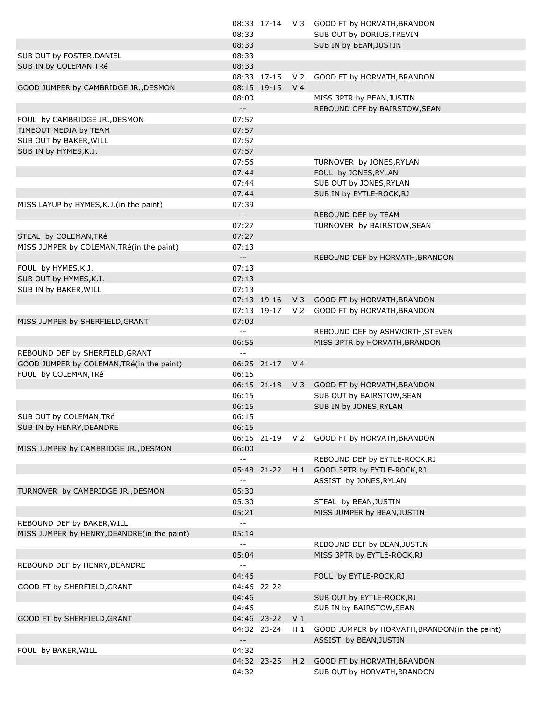|                                             |                                               |                |                | 08:33 17-14 V 3 GOOD FT by HORVATH, BRANDON   |
|---------------------------------------------|-----------------------------------------------|----------------|----------------|-----------------------------------------------|
|                                             | 08:33                                         |                |                | SUB OUT by DORIUS, TREVIN                     |
|                                             | 08:33                                         |                |                | SUB IN by BEAN, JUSTIN                        |
| SUB OUT by FOSTER, DANIEL                   | 08:33                                         |                |                |                                               |
| SUB IN by COLEMAN, TRé                      | 08:33                                         |                |                |                                               |
|                                             |                                               | 08:33 17-15 V2 |                | GOOD FT by HORVATH, BRANDON                   |
| GOOD JUMPER by CAMBRIDGE JR., DESMON        |                                               | 08:15 19-15    | V <sub>4</sub> |                                               |
|                                             | 08:00                                         |                |                | MISS 3PTR by BEAN, JUSTIN                     |
|                                             | $\overline{\phantom{a}}$                      |                |                | REBOUND OFF by BAIRSTOW, SEAN                 |
| FOUL by CAMBRIDGE JR., DESMON               | 07:57                                         |                |                |                                               |
| TIMEOUT MEDIA by TEAM                       | 07:57                                         |                |                |                                               |
| SUB OUT by BAKER, WILL                      | 07:57                                         |                |                |                                               |
| SUB IN by HYMES, K.J.                       | 07:57                                         |                |                |                                               |
|                                             | 07:56                                         |                |                | TURNOVER by JONES, RYLAN                      |
|                                             | 07:44                                         |                |                | FOUL by JONES, RYLAN                          |
|                                             | 07:44                                         |                |                | SUB OUT by JONES, RYLAN                       |
|                                             | 07:44                                         |                |                | SUB IN by EYTLE-ROCK, RJ                      |
| MISS LAYUP by HYMES, K.J. (in the paint)    | 07:39                                         |                |                |                                               |
|                                             | $\overline{\phantom{a}}$                      |                |                | REBOUND DEF by TEAM                           |
|                                             | 07:27                                         |                |                | TURNOVER by BAIRSTOW, SEAN                    |
| STEAL by COLEMAN, TRé                       | 07:27                                         |                |                |                                               |
| MISS JUMPER by COLEMAN, TRé(in the paint)   | 07:13                                         |                |                |                                               |
|                                             | $\mathord{\hspace{1pt}\text{--}\hspace{1pt}}$ |                |                | REBOUND DEF by HORVATH, BRANDON               |
| FOUL by HYMES, K.J.                         | 07:13                                         |                |                |                                               |
| SUB OUT by HYMES, K.J.                      | 07:13                                         |                |                |                                               |
| SUB IN by BAKER, WILL                       | 07:13                                         |                |                |                                               |
|                                             |                                               | 07:13 19-16    |                | V 3 GOOD FT by HORVATH, BRANDON               |
|                                             |                                               | 07:13 19-17    | V 2            | GOOD FT by HORVATH, BRANDON                   |
| MISS JUMPER by SHERFIELD, GRANT             | 07:03                                         |                |                |                                               |
|                                             | $\mathord{\hspace{1pt}\text{--}\hspace{1pt}}$ |                |                | REBOUND DEF by ASHWORTH, STEVEN               |
|                                             | 06:55                                         |                |                | MISS 3PTR by HORVATH, BRANDON                 |
| REBOUND DEF by SHERFIELD, GRANT             | $\mathord{\hspace{1pt}\text{--}\hspace{1pt}}$ |                |                |                                               |
| GOOD JUMPER by COLEMAN, TRé(in the paint)   |                                               | 06:25 21-17 V4 |                |                                               |
| FOUL by COLEMAN, TRé                        | 06:15                                         |                |                |                                               |
|                                             |                                               | 06:15 21-18    | V3             | GOOD FT by HORVATH, BRANDON                   |
|                                             | 06:15                                         |                |                | SUB OUT by BAIRSTOW, SEAN                     |
|                                             | 06:15                                         |                |                | SUB IN by JONES, RYLAN                        |
| SUB OUT by COLEMAN, TRé                     | 06:15                                         |                |                |                                               |
| SUB IN by HENRY, DEANDRE                    | 06:15                                         |                |                |                                               |
|                                             |                                               | 06:15 21-19    | V 2            | GOOD FT by HORVATH, BRANDON                   |
| MISS JUMPER by CAMBRIDGE JR., DESMON        | 06:00                                         |                |                |                                               |
|                                             | $\sim$ $\sim$                                 |                |                | REBOUND DEF by EYTLE-ROCK, RJ                 |
|                                             |                                               | 05:48 21-22    | H 1            | GOOD 3PTR by EYTLE-ROCK, RJ                   |
|                                             | $\mathord{\hspace{1pt}\text{--}\hspace{1pt}}$ |                |                | ASSIST by JONES, RYLAN                        |
| TURNOVER by CAMBRIDGE JR., DESMON           | 05:30                                         |                |                |                                               |
|                                             | 05:30                                         |                |                | STEAL by BEAN, JUSTIN                         |
|                                             | 05:21                                         |                |                | MISS JUMPER by BEAN, JUSTIN                   |
| REBOUND DEF by BAKER, WILL                  | $\mathord{\hspace{1pt}\text{--}\hspace{1pt}}$ |                |                |                                               |
| MISS JUMPER by HENRY, DEANDRE(in the paint) | 05:14                                         |                |                |                                               |
|                                             | $\sim$ $\sim$                                 |                |                | REBOUND DEF by BEAN, JUSTIN                   |
|                                             | 05:04                                         |                |                | MISS 3PTR by EYTLE-ROCK, RJ                   |
| REBOUND DEF by HENRY, DEANDRE               | $\mathord{\hspace{1pt}\text{--}\hspace{1pt}}$ |                |                |                                               |
|                                             | 04:46                                         |                |                | FOUL by EYTLE-ROCK,RJ                         |
| GOOD FT by SHERFIELD, GRANT                 |                                               | 04:46 22-22    |                |                                               |
|                                             | 04:46                                         |                |                | SUB OUT by EYTLE-ROCK, RJ                     |
|                                             | 04:46                                         |                |                | SUB IN by BAIRSTOW, SEAN                      |
| GOOD FT by SHERFIELD, GRANT                 |                                               | 04:46 23-22    | V <sub>1</sub> |                                               |
|                                             |                                               | 04:32 23-24    | $H_1$          | GOOD JUMPER by HORVATH, BRANDON(in the paint) |
|                                             |                                               |                |                | ASSIST by BEAN, JUSTIN                        |
| FOUL by BAKER, WILL                         | 04:32                                         |                |                |                                               |
|                                             |                                               | 04:32 23-25    | H <sub>2</sub> | GOOD FT by HORVATH, BRANDON                   |
|                                             | 04:32                                         |                |                | SUB OUT by HORVATH, BRANDON                   |
|                                             |                                               |                |                |                                               |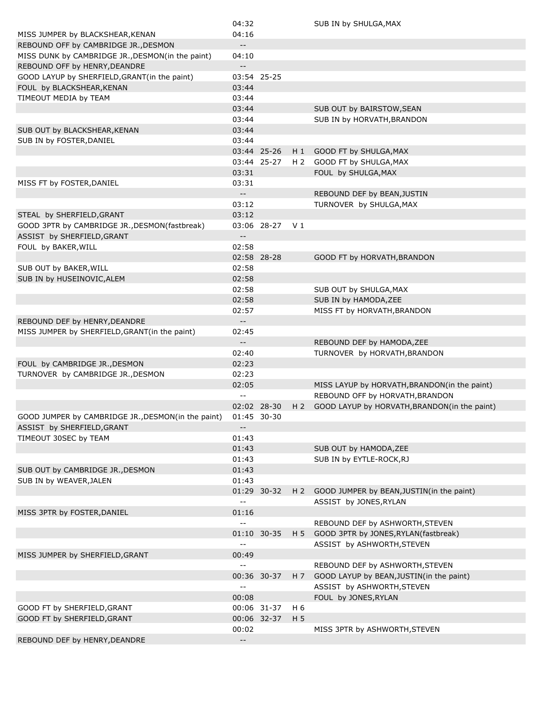|                                                                             | 04:32                                         |                |                | SUB IN by SHULGA, MAX                        |
|-----------------------------------------------------------------------------|-----------------------------------------------|----------------|----------------|----------------------------------------------|
| MISS JUMPER by BLACKSHEAR, KENAN                                            | 04:16                                         |                |                |                                              |
| REBOUND OFF by CAMBRIDGE JR., DESMON                                        | $\sim$                                        |                |                |                                              |
| MISS DUNK by CAMBRIDGE JR., DESMON(in the paint)                            | 04:10                                         |                |                |                                              |
| REBOUND OFF by HENRY, DEANDRE                                               | $- -$                                         |                |                |                                              |
| GOOD LAYUP by SHERFIELD, GRANT(in the paint)                                |                                               | 03:54 25-25    |                |                                              |
| FOUL by BLACKSHEAR, KENAN                                                   | 03:44                                         |                |                |                                              |
| TIMEOUT MEDIA by TEAM                                                       | 03:44                                         |                |                |                                              |
|                                                                             | 03:44                                         |                |                | SUB OUT by BAIRSTOW, SEAN                    |
|                                                                             | 03:44                                         |                |                | SUB IN by HORVATH, BRANDON                   |
| SUB OUT by BLACKSHEAR, KENAN                                                | 03:44                                         |                |                |                                              |
| SUB IN by FOSTER, DANIEL                                                    | 03:44                                         |                |                |                                              |
|                                                                             |                                               |                |                |                                              |
|                                                                             |                                               | 03:44 25-26    | H 1            | GOOD FT by SHULGA, MAX                       |
|                                                                             |                                               | 03:44 25-27    | H <sub>2</sub> | GOOD FT by SHULGA, MAX                       |
|                                                                             | 03:31                                         |                |                | FOUL by SHULGA, MAX                          |
| MISS FT by FOSTER, DANIEL                                                   | 03:31                                         |                |                |                                              |
|                                                                             | $\overline{\phantom{a}}$                      |                |                | REBOUND DEF by BEAN, JUSTIN                  |
|                                                                             | 03:12                                         |                |                | TURNOVER by SHULGA, MAX                      |
| STEAL by SHERFIELD, GRANT                                                   | 03:12                                         |                |                |                                              |
| GOOD 3PTR by CAMBRIDGE JR., DESMON(fastbreak)<br>ASSIST by SHERFIELD, GRANT | $-$                                           | 03:06 28-27 V1 |                |                                              |
| FOUL by BAKER, WILL                                                         | 02:58                                         |                |                |                                              |
|                                                                             |                                               | 02:58 28-28    |                | GOOD FT by HORVATH, BRANDON                  |
| SUB OUT by BAKER, WILL                                                      | 02:58                                         |                |                |                                              |
| SUB IN by HUSEINOVIC, ALEM                                                  | 02:58                                         |                |                |                                              |
|                                                                             | 02:58                                         |                |                | SUB OUT by SHULGA, MAX                       |
|                                                                             | 02:58                                         |                |                | SUB IN by HAMODA, ZEE                        |
|                                                                             | 02:57                                         |                |                | MISS FT by HORVATH, BRANDON                  |
| REBOUND DEF by HENRY, DEANDRE                                               | $-$                                           |                |                |                                              |
| MISS JUMPER by SHERFIELD, GRANT(in the paint)                               | 02:45                                         |                |                |                                              |
|                                                                             | $\overline{\phantom{a}}$                      |                |                |                                              |
|                                                                             |                                               |                |                | REBOUND DEF by HAMODA, ZEE                   |
|                                                                             | 02:40                                         |                |                | TURNOVER by HORVATH, BRANDON                 |
| FOUL by CAMBRIDGE JR., DESMON                                               | 02:23                                         |                |                |                                              |
| TURNOVER by CAMBRIDGE JR., DESMON                                           | 02:23                                         |                |                |                                              |
|                                                                             | 02:05                                         |                |                | MISS LAYUP by HORVATH, BRANDON(in the paint) |
|                                                                             | $-$                                           |                |                | REBOUND OFF by HORVATH, BRANDON              |
|                                                                             |                                               | 02:02 28-30    | H <sub>2</sub> | GOOD LAYUP by HORVATH, BRANDON(in the paint) |
| GOOD JUMPER by CAMBRIDGE JR., DESMON(in the paint)                          |                                               | 01:45 30-30    |                |                                              |
| ASSIST by SHERFIELD, GRANT                                                  | $--$                                          |                |                |                                              |
| TIMEOUT 30SEC by TEAM                                                       | 01:43                                         |                |                |                                              |
|                                                                             | 01:43                                         |                |                | SUB OUT by HAMODA, ZEE                       |
|                                                                             | 01:43                                         |                |                | SUB IN by EYTLE-ROCK, RJ                     |
| SUB OUT by CAMBRIDGE JR., DESMON                                            | 01:43                                         |                |                |                                              |
| SUB IN by WEAVER, JALEN                                                     | 01:43                                         |                |                |                                              |
|                                                                             |                                               | 01:29 30-32    | $H_2$          | GOOD JUMPER by BEAN, JUSTIN(in the paint)    |
|                                                                             | $\mathord{\hspace{1pt}\text{--}\hspace{1pt}}$ |                |                | ASSIST by JONES, RYLAN                       |
| MISS 3PTR by FOSTER, DANIEL                                                 | 01:16                                         |                |                |                                              |
|                                                                             | $\overline{\phantom{a}}$                      |                |                | REBOUND DEF by ASHWORTH, STEVEN              |
|                                                                             |                                               | 01:10 30-35    | H 5            | GOOD 3PTR by JONES, RYLAN (fastbreak)        |
|                                                                             | $\mathord{\hspace{1pt}\text{--}\hspace{1pt}}$ |                |                | ASSIST by ASHWORTH, STEVEN                   |
| MISS JUMPER by SHERFIELD, GRANT                                             | 00:49                                         |                |                |                                              |
|                                                                             | $\overline{\phantom{a}}$                      |                |                | REBOUND DEF by ASHWORTH, STEVEN              |
|                                                                             |                                               | 00:36 30-37    | H <sub>7</sub> | GOOD LAYUP by BEAN, JUSTIN(in the paint)     |
|                                                                             | $\overline{\phantom{a}}$                      |                |                | ASSIST by ASHWORTH, STEVEN                   |
|                                                                             | 00:08                                         |                |                |                                              |
|                                                                             |                                               |                |                | FOUL by JONES, RYLAN                         |
| GOOD FT by SHERFIELD, GRANT                                                 |                                               | 00:06 31-37    | H 6            |                                              |
| GOOD FT by SHERFIELD, GRANT                                                 |                                               | 00:06 32-37    | H <sub>5</sub> |                                              |
|                                                                             | 00:02                                         |                |                | MISS 3PTR by ASHWORTH, STEVEN                |
| REBOUND DEF by HENRY, DEANDRE                                               | $\overline{\phantom{a}}$                      |                |                |                                              |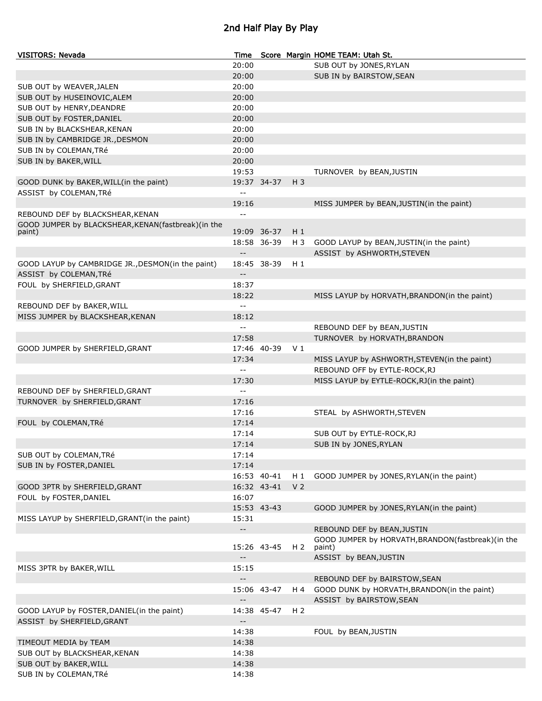## 2nd Half Play By Play

| <b>VISITORS: Nevada</b>                                      | Time                                          |             |                | Score Margin HOME TEAM: Utah St.                  |
|--------------------------------------------------------------|-----------------------------------------------|-------------|----------------|---------------------------------------------------|
|                                                              | 20:00                                         |             |                | SUB OUT by JONES, RYLAN                           |
|                                                              | 20:00                                         |             |                | SUB IN by BAIRSTOW, SEAN                          |
| SUB OUT by WEAVER, JALEN                                     | 20:00                                         |             |                |                                                   |
| SUB OUT by HUSEINOVIC, ALEM                                  | 20:00                                         |             |                |                                                   |
| SUB OUT by HENRY, DEANDRE                                    | 20:00                                         |             |                |                                                   |
| SUB OUT by FOSTER, DANIEL                                    | 20:00                                         |             |                |                                                   |
| SUB IN by BLACKSHEAR, KENAN                                  | 20:00                                         |             |                |                                                   |
| SUB IN by CAMBRIDGE JR., DESMON                              | 20:00                                         |             |                |                                                   |
| SUB IN by COLEMAN, TRé                                       | 20:00                                         |             |                |                                                   |
| SUB IN by BAKER, WILL                                        | 20:00                                         |             |                |                                                   |
|                                                              | 19:53                                         |             |                | TURNOVER by BEAN, JUSTIN                          |
| GOOD DUNK by BAKER, WILL(in the paint)                       |                                               | 19:37 34-37 | $H_3$          |                                                   |
| ASSIST by COLEMAN, TRé                                       | $\overline{a}$                                |             |                |                                                   |
|                                                              | 19:16                                         |             |                | MISS JUMPER by BEAN, JUSTIN(in the paint)         |
| REBOUND DEF by BLACKSHEAR, KENAN                             | $-$                                           |             |                |                                                   |
|                                                              |                                               |             |                |                                                   |
| GOOD JUMPER by BLACKSHEAR, KENAN(fastbreak)(in the<br>paint) |                                               | 19:09 36-37 | $H_1$          |                                                   |
|                                                              |                                               | 18:58 36-39 | H 3            | GOOD LAYUP by BEAN, JUSTIN(in the paint)          |
|                                                              | $\overline{\phantom{a}}$ .                    |             |                | ASSIST by ASHWORTH, STEVEN                        |
| GOOD LAYUP by CAMBRIDGE JR., DESMON(in the paint)            |                                               | 18:45 38-39 | $H_1$          |                                                   |
| ASSIST by COLEMAN, TRé                                       | $\overline{\phantom{a}}$ .                    |             |                |                                                   |
| FOUL by SHERFIELD, GRANT                                     | 18:37                                         |             |                |                                                   |
|                                                              | 18:22                                         |             |                | MISS LAYUP by HORVATH, BRANDON(in the paint)      |
| REBOUND DEF by BAKER, WILL                                   | $\overline{\phantom{a}}$                      |             |                |                                                   |
| MISS JUMPER by BLACKSHEAR, KENAN                             | 18:12                                         |             |                |                                                   |
|                                                              | $\overline{\phantom{a}}$                      |             |                |                                                   |
|                                                              |                                               |             |                | REBOUND DEF by BEAN, JUSTIN                       |
|                                                              | 17:58                                         |             |                | TURNOVER by HORVATH, BRANDON                      |
| GOOD JUMPER by SHERFIELD, GRANT                              |                                               | 17:46 40-39 | V <sub>1</sub> |                                                   |
|                                                              | 17:34                                         |             |                | MISS LAYUP by ASHWORTH, STEVEN(in the paint)      |
|                                                              | $\mathord{\hspace{1pt}\text{--}\hspace{1pt}}$ |             |                | REBOUND OFF by EYTLE-ROCK, RJ                     |
|                                                              | 17:30                                         |             |                | MISS LAYUP by EYTLE-ROCK, RJ (in the paint)       |
| REBOUND DEF by SHERFIELD, GRANT                              | $\mathord{\hspace{1pt}\text{--}\hspace{1pt}}$ |             |                |                                                   |
| TURNOVER by SHERFIELD, GRANT                                 | 17:16                                         |             |                |                                                   |
|                                                              | 17:16                                         |             |                | STEAL by ASHWORTH, STEVEN                         |
| FOUL by COLEMAN, TRé                                         | 17:14                                         |             |                |                                                   |
|                                                              | 17:14                                         |             |                | SUB OUT by EYTLE-ROCK, RJ                         |
|                                                              | 17:14                                         |             |                | SUB IN by JONES, RYLAN                            |
| SUB OUT by COLEMAN, TRé                                      | 17:14                                         |             |                |                                                   |
| SUB IN by FOSTER, DANIEL                                     | 17:14                                         |             |                |                                                   |
|                                                              |                                               | 16:53 40-41 | $H_1$          | GOOD JUMPER by JONES, RYLAN(in the paint)         |
| GOOD 3PTR by SHERFIELD, GRANT                                |                                               | 16:32 43-41 | V <sub>2</sub> |                                                   |
| FOUL by FOSTER, DANIEL                                       | 16:07                                         |             |                |                                                   |
|                                                              |                                               | 15:53 43-43 |                | GOOD JUMPER by JONES, RYLAN(in the paint)         |
| MISS LAYUP by SHERFIELD, GRANT(in the paint)                 | 15:31                                         |             |                |                                                   |
|                                                              | $\sim$                                        |             |                | REBOUND DEF by BEAN, JUSTIN                       |
|                                                              |                                               |             |                | GOOD JUMPER by HORVATH, BRANDON(fastbreak)(in the |
|                                                              |                                               | 15:26 43-45 | H <sub>2</sub> | paint)                                            |
|                                                              | $\overline{\phantom{a}}$ .                    |             |                | ASSIST by BEAN, JUSTIN                            |
| MISS 3PTR by BAKER, WILL                                     | 15:15                                         |             |                |                                                   |
|                                                              | $\overline{\phantom{a}}$                      |             |                | REBOUND DEF by BAIRSTOW, SEAN                     |
|                                                              |                                               | 15:06 43-47 | H 4            | GOOD DUNK by HORVATH, BRANDON(in the paint)       |
|                                                              | $\overline{\phantom{a}}$                      |             |                | ASSIST by BAIRSTOW, SEAN                          |
| GOOD LAYUP by FOSTER, DANIEL(in the paint)                   |                                               | 14:38 45-47 | H <sub>2</sub> |                                                   |
| ASSIST by SHERFIELD, GRANT                                   | $\overline{\phantom{a}}$                      |             |                |                                                   |
|                                                              | 14:38                                         |             |                | FOUL by BEAN, JUSTIN                              |
| TIMEOUT MEDIA by TEAM                                        | 14:38                                         |             |                |                                                   |
| SUB OUT by BLACKSHEAR, KENAN                                 | 14:38                                         |             |                |                                                   |
| SUB OUT by BAKER, WILL                                       | 14:38                                         |             |                |                                                   |
| SUB IN by COLEMAN, TRé                                       | 14:38                                         |             |                |                                                   |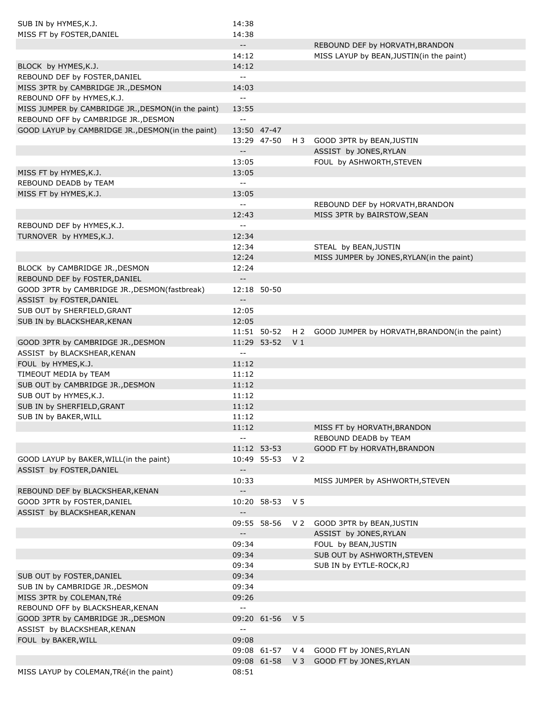| SUB IN by HYMES, K.J.                              | 14:38                                         |                 |                |                                               |
|----------------------------------------------------|-----------------------------------------------|-----------------|----------------|-----------------------------------------------|
| MISS FT by FOSTER, DANIEL                          | 14:38                                         |                 |                |                                               |
|                                                    | $\overline{\phantom{a}}$                      |                 |                | REBOUND DEF by HORVATH, BRANDON               |
|                                                    | 14:12                                         |                 |                | MISS LAYUP by BEAN, JUSTIN(in the paint)      |
| BLOCK by HYMES, K.J.                               | 14:12                                         |                 |                |                                               |
| REBOUND DEF by FOSTER, DANIEL                      | $\sim$ $\sim$                                 |                 |                |                                               |
| MISS 3PTR by CAMBRIDGE JR., DESMON                 | 14:03                                         |                 |                |                                               |
| REBOUND OFF by HYMES, K.J.                         | $\overline{\phantom{a}}$                      |                 |                |                                               |
| MISS JUMPER by CAMBRIDGE JR., DESMON(in the paint) | 13:55                                         |                 |                |                                               |
| REBOUND OFF by CAMBRIDGE JR., DESMON               | $\sim$ $-$                                    |                 |                |                                               |
| GOOD LAYUP by CAMBRIDGE JR., DESMON(in the paint)  |                                               | 13:50 47-47     |                |                                               |
|                                                    |                                               | 13:29 47-50     | H 3            | GOOD 3PTR by BEAN, JUSTIN                     |
|                                                    | $\overline{\phantom{m}}$                      |                 |                | ASSIST by JONES, RYLAN                        |
|                                                    | 13:05                                         |                 |                | FOUL by ASHWORTH, STEVEN                      |
| MISS FT by HYMES, K.J.                             | 13:05                                         |                 |                |                                               |
| REBOUND DEADB by TEAM                              | $\sim$ $\sim$                                 |                 |                |                                               |
| MISS FT by HYMES, K.J.                             | 13:05                                         |                 |                |                                               |
|                                                    | $\sim$ $-$                                    |                 |                | REBOUND DEF by HORVATH, BRANDON               |
|                                                    | 12:43                                         |                 |                | MISS 3PTR by BAIRSTOW, SEAN                   |
| REBOUND DEF by HYMES, K.J.                         | $\sim$ $\sim$                                 |                 |                |                                               |
| TURNOVER by HYMES, K.J.                            | 12:34                                         |                 |                |                                               |
|                                                    | 12:34                                         |                 |                |                                               |
|                                                    | 12:24                                         |                 |                | STEAL by BEAN, JUSTIN                         |
|                                                    |                                               |                 |                | MISS JUMPER by JONES, RYLAN(in the paint)     |
| BLOCK by CAMBRIDGE JR., DESMON                     | 12:24                                         |                 |                |                                               |
| REBOUND DEF by FOSTER, DANIEL                      | $\overline{\phantom{a}}$ .                    |                 |                |                                               |
| GOOD 3PTR by CAMBRIDGE JR., DESMON(fastbreak)      |                                               | 12:18 50-50     |                |                                               |
| ASSIST by FOSTER, DANIEL                           | $\overline{\phantom{m}}$                      |                 |                |                                               |
| SUB OUT by SHERFIELD, GRANT                        | 12:05                                         |                 |                |                                               |
| SUB IN by BLACKSHEAR, KENAN                        | 12:05                                         |                 |                |                                               |
|                                                    |                                               | 11:51 50-52     | H <sub>2</sub> | GOOD JUMPER by HORVATH, BRANDON(in the paint) |
| GOOD 3PTR by CAMBRIDGE JR., DESMON                 |                                               | 11:29 53-52     | V <sub>1</sub> |                                               |
| ASSIST by BLACKSHEAR, KENAN                        | $\sim$ $\sim$                                 |                 |                |                                               |
| FOUL by HYMES, K.J.                                | 11:12                                         |                 |                |                                               |
| TIMEOUT MEDIA by TEAM                              | 11:12                                         |                 |                |                                               |
| SUB OUT by CAMBRIDGE JR., DESMON                   | 11:12                                         |                 |                |                                               |
| SUB OUT by HYMES, K.J.                             | 11:12                                         |                 |                |                                               |
| SUB IN by SHERFIELD, GRANT                         | 11:12                                         |                 |                |                                               |
| SUB IN by BAKER, WILL                              | 11:12                                         |                 |                |                                               |
|                                                    | 11:12                                         |                 |                | MISS FT by HORVATH, BRANDON                   |
|                                                    | $\sim$ $\sim$                                 |                 |                | REBOUND DEADB by TEAM                         |
|                                                    |                                               | 11:12 53-53     |                | GOOD FT by HORVATH, BRANDON                   |
| GOOD LAYUP by BAKER, WILL (in the paint)           |                                               | 10:49 55-53 V 2 |                |                                               |
| ASSIST by FOSTER, DANIEL                           | $\mathord{\hspace{1pt}\text{--}\hspace{1pt}}$ |                 |                |                                               |
|                                                    | 10:33                                         |                 |                | MISS JUMPER by ASHWORTH, STEVEN               |
| REBOUND DEF by BLACKSHEAR, KENAN                   | $\mathord{\hspace{1pt}\text{--}\hspace{1pt}}$ |                 |                |                                               |
| GOOD 3PTR by FOSTER, DANIEL                        |                                               | 10:20 58-53     | V 5            |                                               |
| ASSIST by BLACKSHEAR, KENAN                        | $\overline{\phantom{a}}$ .                    |                 |                |                                               |
|                                                    |                                               | 09:55 58-56     |                | V 2 GOOD 3PTR by BEAN, JUSTIN                 |
|                                                    | $\overline{\phantom{m}}$                      |                 |                | ASSIST by JONES, RYLAN                        |
|                                                    | 09:34                                         |                 |                | FOUL by BEAN, JUSTIN                          |
|                                                    | 09:34                                         |                 |                | SUB OUT by ASHWORTH, STEVEN                   |
|                                                    | 09:34                                         |                 |                | SUB IN by EYTLE-ROCK, RJ                      |
| SUB OUT by FOSTER, DANIEL                          | 09:34                                         |                 |                |                                               |
| SUB IN by CAMBRIDGE JR., DESMON                    | 09:34                                         |                 |                |                                               |
| MISS 3PTR by COLEMAN, TRé                          | 09:26                                         |                 |                |                                               |
| REBOUND OFF by BLACKSHEAR, KENAN                   | $\mathord{\hspace{1pt}\text{--}\hspace{1pt}}$ |                 |                |                                               |
| GOOD 3PTR by CAMBRIDGE JR., DESMON                 |                                               | 09:20 61-56 V5  |                |                                               |
| ASSIST by BLACKSHEAR, KENAN                        | $\mathord{\hspace{1pt}\text{--}\hspace{1pt}}$ |                 |                |                                               |
| FOUL by BAKER, WILL                                | 09:08                                         |                 |                |                                               |
|                                                    |                                               |                 |                | 09:08 61-57 V 4 GOOD FT by JONES, RYLAN       |
|                                                    |                                               |                 |                | 09:08 61-58 V 3 GOOD FT by JONES, RYLAN       |
| MISS LAYUP by COLEMAN, TRé(in the paint)           | 08:51                                         |                 |                |                                               |
|                                                    |                                               |                 |                |                                               |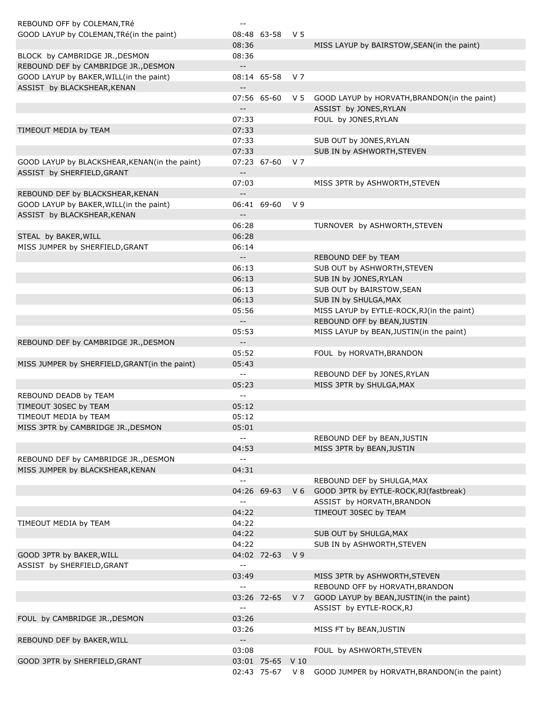| REBOUND OFF by COLEMAN, TRé                   | $- -$                                         |                  |                |                                                  |
|-----------------------------------------------|-----------------------------------------------|------------------|----------------|--------------------------------------------------|
| GOOD LAYUP by COLEMAN, TRé(in the paint)      |                                               | 08:48 63-58      | V 5            |                                                  |
|                                               | 08:36                                         |                  |                | MISS LAYUP by BAIRSTOW, SEAN(in the paint)       |
| BLOCK by CAMBRIDGE JR., DESMON                | 08:36                                         |                  |                |                                                  |
| REBOUND DEF by CAMBRIDGE JR., DESMON          | $\overline{\phantom{a}}$                      |                  |                |                                                  |
| GOOD LAYUP by BAKER, WILL(in the paint)       |                                               | 08:14 65-58      | V 7            |                                                  |
| ASSIST by BLACKSHEAR, KENAN                   | $\overline{\phantom{a}}$                      |                  |                |                                                  |
|                                               |                                               | 07:56 65-60      |                | V 5 GOOD LAYUP by HORVATH, BRANDON(in the paint) |
|                                               | $\overline{\phantom{a}}$                      |                  |                | ASSIST by JONES, RYLAN                           |
|                                               | 07:33                                         |                  |                | FOUL by JONES, RYLAN                             |
| TIMEOUT MEDIA by TEAM                         | 07:33                                         |                  |                |                                                  |
|                                               | 07:33                                         |                  |                | SUB OUT by JONES, RYLAN                          |
|                                               | 07:33                                         |                  |                | SUB IN by ASHWORTH, STEVEN                       |
| GOOD LAYUP by BLACKSHEAR, KENAN(in the paint) |                                               | 07:23 67-60      | V <sub>7</sub> |                                                  |
| ASSIST by SHERFIELD, GRANT                    | $\overline{\phantom{a}}$                      |                  |                |                                                  |
|                                               | 07:03                                         |                  |                | MISS 3PTR by ASHWORTH, STEVEN                    |
| REBOUND DEF by BLACKSHEAR, KENAN              | $\overline{\phantom{a}}$                      |                  |                |                                                  |
| GOOD LAYUP by BAKER, WILL(in the paint)       |                                               | 06:41 69-60      | V <sub>9</sub> |                                                  |
| ASSIST by BLACKSHEAR, KENAN                   | $\overline{\phantom{a}}$                      |                  |                |                                                  |
|                                               | 06:28                                         |                  |                | TURNOVER by ASHWORTH, STEVEN                     |
| STEAL by BAKER, WILL                          | 06:28                                         |                  |                |                                                  |
| MISS JUMPER by SHERFIELD, GRANT               | 06:14                                         |                  |                |                                                  |
|                                               | $\overline{\phantom{a}}$                      |                  |                | REBOUND DEF by TEAM                              |
|                                               | 06:13                                         |                  |                | SUB OUT by ASHWORTH, STEVEN                      |
|                                               | 06:13                                         |                  |                | SUB IN by JONES, RYLAN                           |
|                                               | 06:13                                         |                  |                | SUB OUT by BAIRSTOW, SEAN                        |
|                                               | 06:13                                         |                  |                | SUB IN by SHULGA, MAX                            |
|                                               | 05:56                                         |                  |                | MISS LAYUP by EYTLE-ROCK, RJ(in the paint)       |
|                                               | $\overline{\phantom{a}}$                      |                  |                | REBOUND OFF by BEAN, JUSTIN                      |
|                                               | 05:53                                         |                  |                | MISS LAYUP by BEAN, JUSTIN(in the paint)         |
| REBOUND DEF by CAMBRIDGE JR., DESMON          | $\overline{\phantom{a}}$                      |                  |                |                                                  |
|                                               | 05:52                                         |                  |                | FOUL by HORVATH, BRANDON                         |
| MISS JUMPER by SHERFIELD, GRANT(in the paint) | 05:43                                         |                  |                |                                                  |
|                                               | $\overline{\phantom{a}}$                      |                  |                | REBOUND DEF by JONES, RYLAN                      |
|                                               | 05:23                                         |                  |                | MISS 3PTR by SHULGA, MAX                         |
| REBOUND DEADB by TEAM                         | $\mathord{\hspace{1pt}\text{--}\hspace{1pt}}$ |                  |                |                                                  |
| TIMEOUT 30SEC by TEAM                         | 05:12                                         |                  |                |                                                  |
| TIMEOUT MEDIA by TEAM                         | 05:12                                         |                  |                |                                                  |
| MISS 3PTR by CAMBRIDGE JR., DESMON            | 05:01                                         |                  |                |                                                  |
|                                               | $\mathord{\hspace{1pt}\text{--}\hspace{1pt}}$ |                  |                | REBOUND DEF by BEAN, JUSTIN                      |
|                                               | 04:53                                         |                  |                | MISS 3PTR by BEAN, JUSTIN                        |
| REBOUND DEF by CAMBRIDGE JR., DESMON          | $\mathord{\hspace{1pt}\text{--}\hspace{1pt}}$ |                  |                |                                                  |
| MISS JUMPER by BLACKSHEAR, KENAN              | 04:31                                         |                  |                |                                                  |
|                                               | $\sim$ $-$                                    |                  |                | REBOUND DEF by SHULGA, MAX                       |
|                                               |                                               | 04:26 69-63      |                | V 6 GOOD 3PTR by EYTLE-ROCK, RJ (fastbreak)      |
|                                               | $\overline{\phantom{m}}$                      |                  |                | ASSIST by HORVATH, BRANDON                       |
|                                               | 04:22                                         |                  |                | TIMEOUT 30SEC by TEAM                            |
| TIMEOUT MEDIA by TEAM                         | 04:22                                         |                  |                |                                                  |
|                                               | 04:22                                         |                  |                | SUB OUT by SHULGA, MAX                           |
|                                               |                                               |                  |                |                                                  |
| GOOD 3PTR by BAKER, WILL                      | 04:22                                         |                  | V <sub>9</sub> | SUB IN by ASHWORTH, STEVEN                       |
|                                               |                                               | 04:02 72-63      |                |                                                  |
| ASSIST by SHERFIELD, GRANT                    | $\mathord{\hspace{1pt}\text{--}\hspace{1pt}}$ |                  |                |                                                  |
|                                               | 03:49                                         |                  |                | MISS 3PTR by ASHWORTH, STEVEN                    |
|                                               | $\mathord{\hspace{1pt}\text{--}\hspace{1pt}}$ |                  |                | REBOUND OFF by HORVATH, BRANDON                  |
|                                               |                                               | 03:26 72-65      | V <sub>7</sub> | GOOD LAYUP by BEAN, JUSTIN(in the paint)         |
|                                               | $\sim$ $-$                                    |                  |                | ASSIST by EYTLE-ROCK, RJ                         |
| FOUL by CAMBRIDGE JR., DESMON                 | 03:26                                         |                  |                |                                                  |
|                                               | 03:26                                         |                  |                | MISS FT by BEAN, JUSTIN                          |
| REBOUND DEF by BAKER, WILL                    | $\overline{\phantom{a}}$                      |                  |                |                                                  |
|                                               | 03:08                                         |                  |                | FOUL by ASHWORTH, STEVEN                         |
| GOOD 3PTR by SHERFIELD, GRANT                 |                                               | 03:01 75-65 V 10 |                |                                                  |
|                                               |                                               | 02:43 75-67      | V 8            | GOOD JUMPER by HORVATH, BRANDON(in the paint)    |